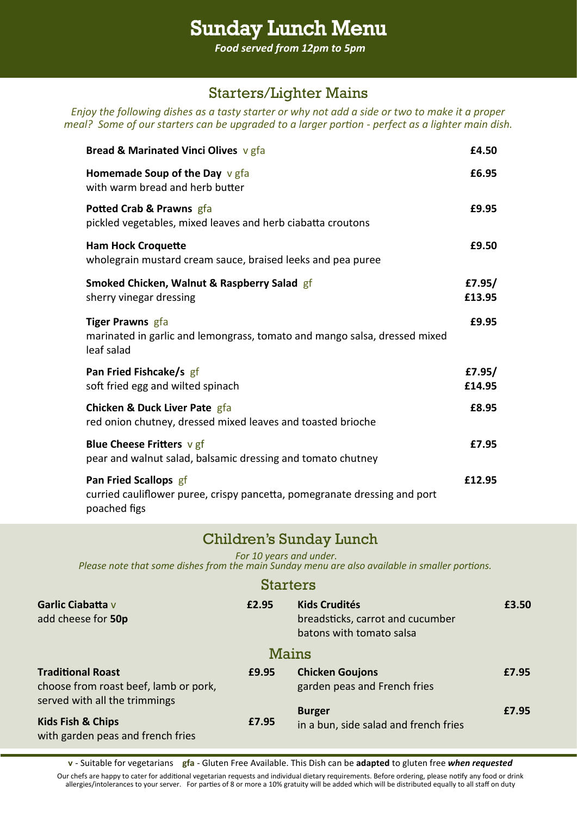# Sunday Lunch Menu

*Food served from 12pm to 5pm*

### Starters/Lighter Mains

*Enjoy the following dishes as a tasty starter or why not add a side or two to make it a proper meal?* Some of our starters can be upgraded to a larger portion - perfect as a lighter main dish.

| Bread & Marinated Vinci Olives v gfa                                                                               | £4.50            |
|--------------------------------------------------------------------------------------------------------------------|------------------|
| Homemade Soup of the Day $v$ gfa<br>with warm bread and herb butter                                                | £6.95            |
| Potted Crab & Prawns gfa<br>pickled vegetables, mixed leaves and herb ciabatta croutons                            | £9.95            |
| <b>Ham Hock Croquette</b><br>wholegrain mustard cream sauce, braised leeks and pea puree                           | £9.50            |
| Smoked Chicken, Walnut & Raspberry Salad gf<br>sherry vinegar dressing                                             | £7.95/<br>£13.95 |
| <b>Tiger Prawns</b> gfa<br>marinated in garlic and lemongrass, tomato and mango salsa, dressed mixed<br>leaf salad | £9.95            |
| Pan Fried Fishcake/s gf<br>soft fried egg and wilted spinach                                                       | £7.95/<br>£14.95 |
| <b>Chicken &amp; Duck Liver Pate gfa</b><br>red onion chutney, dressed mixed leaves and toasted brioche            | £8.95            |
| <b>Blue Cheese Fritters <math>v</math> gf</b><br>pear and walnut salad, balsamic dressing and tomato chutney       | £7.95            |
| Pan Fried Scallops gf<br>curried cauliflower puree, crispy pancetta, pomegranate dressing and port<br>poached figs | £12.95           |

#### Children's Sunday Lunch

*For 10 years and under.* 

*Please note that some dishes from the main Sunday menu are also available in smaller portions.*

#### **Starters**

| Garlic Ciabatta v<br>add cheese for 50p                                                            | £2.95 | <b>Kids Crudités</b><br>breadsticks, carrot and cucumber<br>batons with tomato salsa | £3.50 |
|----------------------------------------------------------------------------------------------------|-------|--------------------------------------------------------------------------------------|-------|
|                                                                                                    |       | Mains                                                                                |       |
| <b>Traditional Roast</b><br>choose from roast beef, lamb or pork,<br>served with all the trimmings | £9.95 | <b>Chicken Goujons</b><br>garden peas and French fries                               | £7.95 |
| <b>Kids Fish &amp; Chips</b><br>with garden peas and french fries                                  | £7.95 | <b>Burger</b><br>in a bun, side salad and french fries                               | £7.95 |

**v** - Suitable for vegetarians **gfa** - Gluten Free Available. This Dish can be **adapted** to gluten free *when requested* Our chefs are happy to cater for additional vegetarian requests and individual dietary requirements. Before ordering, please notify any food or drink allergies/intolerances to your server. For parties of 8 or more a 10% gratuity will be added which will be distributed equally to all staff on duty